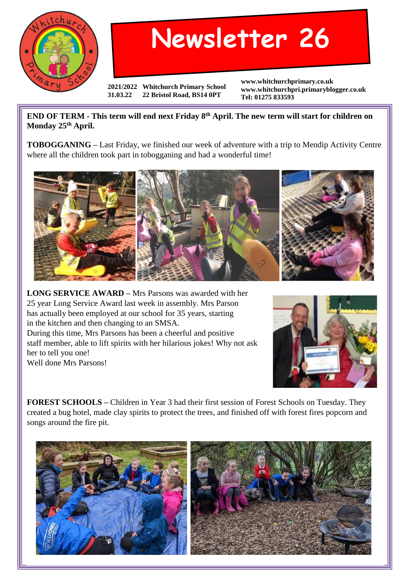

## **Newsletter 26**

**2021/2022 Whitchurch Primary School 31.03.22 22 Bristol Road, BS14 0PT**

**www.whitchurchprimary.co.uk www.whitchurchpri.primaryblogger.co.uk Tel: 01275 833593**

**END OF TERM - This term will end next Friday 8th April. The new term will start for children on Monday 25th April.**

**TOBOGGANING –** Last Friday, we finished our week of adventure with a trip to Mendip Activity Centre where all the children took part in tobogganing and had a wonderful time!



**LONG SERVICE AWARD –** Mrs Parsons was awarded with her 25 year Long Service Award last week in assembly. Mrs Parson has actually been employed at our school for 35 years, starting in the kitchen and then changing to an SMSA. During this time, Mrs Parsons has been a cheerful and positive staff member, able to lift spirits with her hilarious jokes! Why not ask her to tell you one! Well done Mrs Parsons!



**FOREST SCHOOLS –** Children in Year 3 had their first session of Forest Schools on Tuesday. They created a bug hotel, made clay spirits to protect the trees, and finished off with forest fires popcorn and songs around the fire pit.

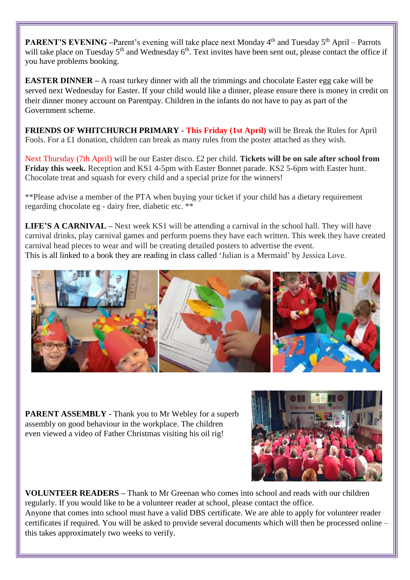**PARENT'S EVENING** –Parent's evening will take place next Monday 4<sup>th</sup> and Tuesday 5<sup>th</sup> April – Parrots will take place on Tuesday 5<sup>th</sup> and Wednesday 6<sup>th</sup>. Text invites have been sent out, please contact the office if you have problems booking.

**EASTER DINNER** – A roast turkey dinner with all the trimmings and chocolate Easter egg cake will be served next Wednesday for Easter. If your child would like a dinner, please ensure there is money in credit on their dinner money account on Parentpay. Children in the infants do not have to pay as part of the Government scheme.

**FRIENDS OF WHITCHURCH PRIMARY** - **This Friday (1st April)** will be Break the Rules for April Fools. For a £1 donation, children can break as many rules from the poster attached as they wish.

Next Thursday (7th April) will be our Easter disco. £2 per child. **Tickets will be on sale after school from Friday this week.** Reception and KS1 4-5pm with Easter Bonnet parade. KS2 5-6pm with Easter hunt. Chocolate treat and squash for every child and a special prize for the winners!

\*\*Please advise a member of the PTA when buying your ticket if your child has a dietary requirement regarding chocolate eg - dairy free, diabetic etc. \*\*

**LIFE'S A CARNIVAL** – Next week KS1 will be attending a carnival in the school hall. They will have carnival drinks, play carnival games and perform poems they have each written. This week they have created carnival head pieces to wear and will be creating detailed posters to advertise the event. This is all linked to a book they are reading in class called 'Julian is a Mermaid' by Jessica Love.



**PARENT ASSEMBLY** - Thank you to Mr Webley for a superb assembly on good behaviour in the workplace. The children even viewed a video of Father Christmas visiting his oil rig!



**VOLUNTEER READERS –** Thank to Mr Greenan who comes into school and reads with our children regularly. If you would like to be a volunteer reader at school, please contact the office. Anyone that comes into school must have a valid DBS certificate. We are able to apply for volunteer reader certificates if required. You will be asked to provide several documents which will then be processed online – this takes approximately two weeks to verify.